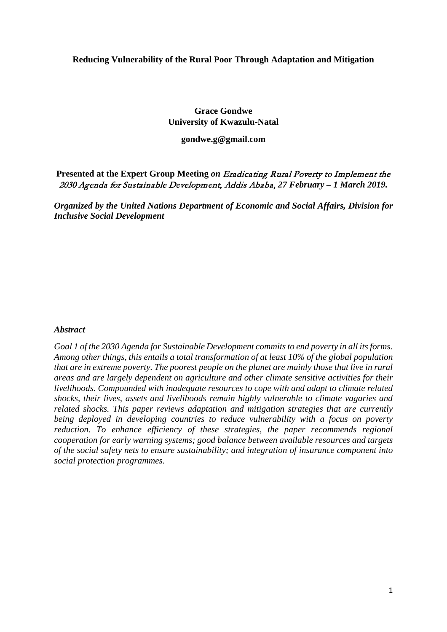#### **Reducing Vulnerability of the Rural Poor Through Adaptation and Mitigation**

# **Grace Gondwe University of Kwazulu-Natal**

#### **gondwe.g@gmail.com**

**Presented at the Expert Group Meeting** *on* Eradicating Rural Poverty to Implement the 2030 Agenda for Sustainable Development, Addis Ababa, *27 February – 1 March 2019.*

*Organized by the United Nations Department of Economic and Social Affairs, Division for Inclusive Social Development*

#### *Abstract*

*Goal 1 of the 2030 Agenda for Sustainable Development commits to end poverty in all its forms. Among other things, this entails a total transformation of at least 10% of the global population that are in extreme poverty. The poorest people on the planet are mainly those that live in rural areas and are largely dependent on agriculture and other climate sensitive activities for their livelihoods. Compounded with inadequate resources to cope with and adapt to climate related shocks, their lives, assets and livelihoods remain highly vulnerable to climate vagaries and related shocks. This paper reviews adaptation and mitigation strategies that are currently being deployed in developing countries to reduce vulnerability with a focus on poverty reduction. To enhance efficiency of these strategies, the paper recommends regional cooperation for early warning systems; good balance between available resources and targets of the social safety nets to ensure sustainability; and integration of insurance component into social protection programmes.*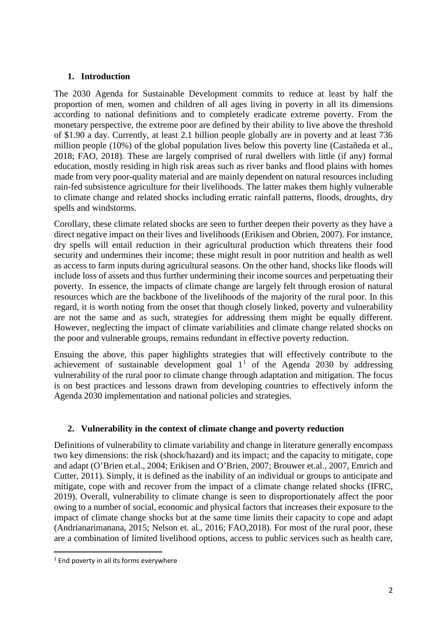### **1. Introduction**

The 2030 Agenda for Sustainable Development commits to reduce at least by half the proportion of men, women and children of all ages living in poverty in all its dimensions according to national definitions and to completely eradicate extreme poverty. From the monetary perspective, the extreme poor are defined by their ability to live above the threshold of \$1.90 a day. Currently, at least 2.1 billion people globally are in poverty and at least 736 million people (10%) of the global population lives below this poverty line (Castañeda et al., 2018; FAO, 2018). These are largely comprised of rural dwellers with little (if any) formal education, mostly residing in high risk areas such as river banks and flood plains with homes made from very poor-quality material and are mainly dependent on natural resources including rain-fed subsistence agriculture for their livelihoods. The latter makes them highly vulnerable to climate change and related shocks including erratic rainfall patterns, floods, droughts, dry spells and windstorms.

Corollary, these climate related shocks are seen to further deepen their poverty as they have a direct negative impact on their lives and livelihoods (Erikisen and Obrien, 2007). For instance, dry spells will entail reduction in their agricultural production which threatens their food security and undermines their income; these might result in poor nutrition and health as well as access to farm inputs during agricultural seasons. On the other hand, shocks like floods will include loss of assets and thus further undermining their income sources and perpetuating their poverty. In essence, the impacts of climate change are largely felt through erosion of natural resources which are the backbone of the livelihoods of the majority of the rural poor. In this regard, it is worth noting from the onset that though closely linked, poverty and vulnerability are not the same and as such, strategies for addressing them might be equally different. However, neglecting the impact of climate variabilities and climate change related shocks on the poor and vulnerable groups, remains redundant in effective poverty reduction.

Ensuing the above, this paper highlights strategies that will effectively contribute to the achievement of sustainable development goal  $1<sup>1</sup>$  $1<sup>1</sup>$  of the Agenda 2030 by addressing vulnerability of the rural poor to climate change through adaptation and mitigation. The focus is on best practices and lessons drawn from developing countries to effectively inform the Agenda 2030 implementation and national policies and strategies.

## **2. Vulnerability in the context of climate change and poverty reduction**

Definitions of vulnerability to climate variability and change in literature generally encompass two key dimensions: the risk (shock/hazard) and its impact; and the capacity to mitigate, cope and adapt (O'Brien et.al., 2004; Erikisen and O'Brien, 2007; Brouwer et.al., 2007, Emrich and Cutter, 2011). Simply, it is defined as the inability of an individual or groups to anticipate and mitigate, cope with and recover from the impact of a climate change related shocks (IFRC, 2019). Overall, vulnerability to climate change is seen to disproportionately affect the poor owing to a number of social, economic and physical factors that increases their exposure to the impact of climate change shocks but at the same time limits their capacity to cope and adapt (Andrianarimanana, 2015; Nelson et. al., 2016; FAO,2018). For most of the rural poor, these are a combination of limited livelihood options, access to public services such as health care,

<span id="page-1-0"></span><sup>&</sup>lt;sup>1</sup> End poverty in all its forms everywhere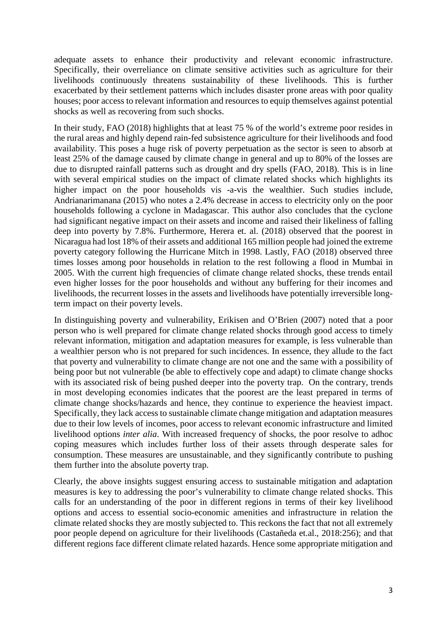adequate assets to enhance their productivity and relevant economic infrastructure. Specifically, their overreliance on climate sensitive activities such as agriculture for their livelihoods continuously threatens sustainability of these livelihoods. This is further exacerbated by their settlement patterns which includes disaster prone areas with poor quality houses; poor access to relevant information and resources to equip themselves against potential shocks as well as recovering from such shocks.

In their study, FAO (2018) highlights that at least 75 % of the world's extreme poor resides in the rural areas and highly depend rain-fed subsistence agriculture for their livelihoods and food availability. This poses a huge risk of poverty perpetuation as the sector is seen to absorb at least 25% of the damage caused by climate change in general and up to 80% of the losses are due to disrupted rainfall patterns such as drought and dry spells (FAO, 2018). This is in line with several empirical studies on the impact of climate related shocks which highlights its higher impact on the poor households vis -a-vis the wealthier. Such studies include, Andrianarimanana (2015) who notes a 2.4% decrease in access to electricity only on the poor households following a cyclone in Madagascar. This author also concludes that the cyclone had significant negative impact on their assets and income and raised their likeliness of falling deep into poverty by 7.8%. Furthermore, Herera et. al. (2018) observed that the poorest in Nicaragua had lost 18% of their assets and additional 165 million people had joined the extreme poverty category following the Hurricane Mitch in 1998. Lastly, FAO (2018) observed three times losses among poor households in relation to the rest following a flood in Mumbai in 2005. With the current high frequencies of climate change related shocks, these trends entail even higher losses for the poor households and without any buffering for their incomes and livelihoods, the recurrent losses in the assets and livelihoods have potentially irreversible longterm impact on their poverty levels.

In distinguishing poverty and vulnerability, Erikisen and O'Brien (2007) noted that a poor person who is well prepared for climate change related shocks through good access to timely relevant information, mitigation and adaptation measures for example, is less vulnerable than a wealthier person who is not prepared for such incidences. In essence, they allude to the fact that poverty and vulnerability to climate change are not one and the same with a possibility of being poor but not vulnerable (be able to effectively cope and adapt) to climate change shocks with its associated risk of being pushed deeper into the poverty trap. On the contrary, trends in most developing economies indicates that the poorest are the least prepared in terms of climate change shocks/hazards and hence, they continue to experience the heaviest impact. Specifically, they lack access to sustainable climate change mitigation and adaptation measures due to their low levels of incomes, poor access to relevant economic infrastructure and limited livelihood options *inter alia*. With increased frequency of shocks, the poor resolve to adhoc coping measures which includes further loss of their assets through desperate sales for consumption. These measures are unsustainable, and they significantly contribute to pushing them further into the absolute poverty trap.

Clearly, the above insights suggest ensuring access to sustainable mitigation and adaptation measures is key to addressing the poor's vulnerability to climate change related shocks. This calls for an understanding of the poor in different regions in terms of their key livelihood options and access to essential socio-economic amenities and infrastructure in relation the climate related shocks they are mostly subjected to. This reckons the fact that not all extremely poor people depend on agriculture for their livelihoods (Castañeda et.al., 2018:256); and that different regions face different climate related hazards. Hence some appropriate mitigation and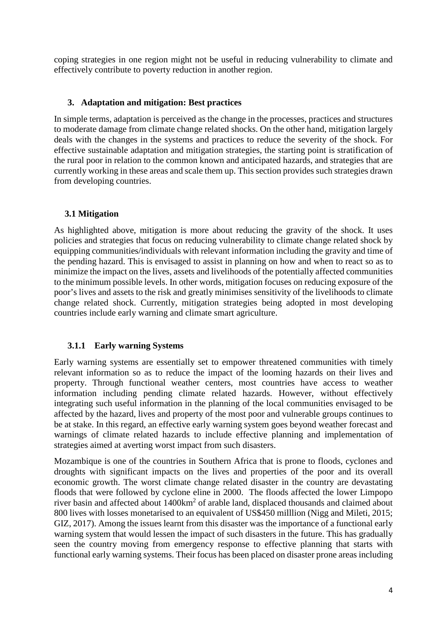coping strategies in one region might not be useful in reducing vulnerability to climate and effectively contribute to poverty reduction in another region.

### **3. Adaptation and mitigation: Best practices**

In simple terms, adaptation is perceived as the change in the processes, practices and structures to moderate damage from climate change related shocks. On the other hand, mitigation largely deals with the changes in the systems and practices to reduce the severity of the shock. For effective sustainable adaptation and mitigation strategies, the starting point is stratification of the rural poor in relation to the common known and anticipated hazards, and strategies that are currently working in these areas and scale them up. This section provides such strategies drawn from developing countries.

### **3.1 Mitigation**

As highlighted above, mitigation is more about reducing the gravity of the shock. It uses policies and strategies that focus on reducing vulnerability to climate change related shock by equipping communities/individuals with relevant information including the gravity and time of the pending hazard. This is envisaged to assist in planning on how and when to react so as to minimize the impact on the lives, assets and livelihoods of the potentially affected communities to the minimum possible levels. In other words, mitigation focuses on reducing exposure of the poor's lives and assets to the risk and greatly minimises sensitivity of the livelihoods to climate change related shock. Currently, mitigation strategies being adopted in most developing countries include early warning and climate smart agriculture.

## **3.1.1 Early warning Systems**

Early warning systems are essentially set to empower threatened communities with timely relevant information so as to reduce the impact of the looming hazards on their lives and property. Through functional weather centers, most countries have access to weather information including pending climate related hazards. However, without effectively integrating such useful information in the planning of the local communities envisaged to be affected by the hazard, lives and property of the most poor and vulnerable groups continues to be at stake. In this regard, an effective early warning system goes beyond weather forecast and warnings of climate related hazards to include effective planning and implementation of strategies aimed at averting worst impact from such disasters.

Mozambique is one of the countries in Southern Africa that is prone to floods, cyclones and droughts with significant impacts on the lives and properties of the poor and its overall economic growth. The worst climate change related disaster in the country are devastating floods that were followed by cyclone eline in 2000. The floods affected the lower Limpopo river basin and affected about 1400km<sup>2</sup> of arable land, displaced thousands and claimed about 800 lives with losses monetarised to an equivalent of US\$450 milllion (Nigg and Mileti, 2015; GIZ, 2017). Among the issues learnt from this disaster was the importance of a functional early warning system that would lessen the impact of such disasters in the future. This has gradually seen the country moving from emergency response to effective planning that starts with functional early warning systems. Their focus has been placed on disaster prone areas including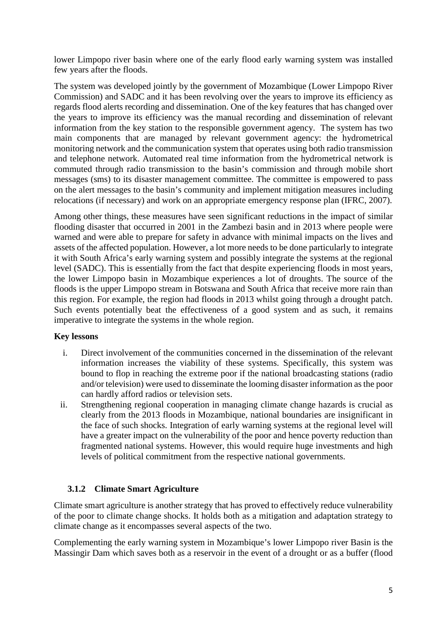lower Limpopo river basin where one of the early flood early warning system was installed few years after the floods.

The system was developed jointly by the government of Mozambique (Lower Limpopo River Commission) and SADC and it has been revolving over the years to improve its efficiency as regards flood alerts recording and dissemination. One of the key features that has changed over the years to improve its efficiency was the manual recording and dissemination of relevant information from the key station to the responsible government agency. The system has two main components that are managed by relevant government agency: the hydrometrical monitoring network and the communication system that operates using both radio transmission and telephone network. Automated real time information from the hydrometrical network is commuted through radio transmission to the basin's commission and through mobile short messages (sms) to its disaster management committee. The committee is empowered to pass on the alert messages to the basin's community and implement mitigation measures including relocations (if necessary) and work on an appropriate emergency response plan (IFRC, 2007).

Among other things, these measures have seen significant reductions in the impact of similar flooding disaster that occurred in 2001 in the Zambezi basin and in 2013 where people were warned and were able to prepare for safety in advance with minimal impacts on the lives and assets of the affected population. However, a lot more needs to be done particularly to integrate it with South Africa's early warning system and possibly integrate the systems at the regional level (SADC). This is essentially from the fact that despite experiencing floods in most years, the lower Limpopo basin in Mozambique experiences a lot of droughts. The source of the floods is the upper Limpopo stream in Botswana and South Africa that receive more rain than this region. For example, the region had floods in 2013 whilst going through a drought patch. Such events potentially beat the effectiveness of a good system and as such, it remains imperative to integrate the systems in the whole region.

## **Key lessons**

- i. Direct involvement of the communities concerned in the dissemination of the relevant information increases the viability of these systems. Specifically, this system was bound to flop in reaching the extreme poor if the national broadcasting stations (radio and/or television) were used to disseminate the looming disaster information as the poor can hardly afford radios or television sets.
- ii. Strengthening regional cooperation in managing climate change hazards is crucial as clearly from the 2013 floods in Mozambique, national boundaries are insignificant in the face of such shocks. Integration of early warning systems at the regional level will have a greater impact on the vulnerability of the poor and hence poverty reduction than fragmented national systems. However, this would require huge investments and high levels of political commitment from the respective national governments.

## **3.1.2 Climate Smart Agriculture**

Climate smart agriculture is another strategy that has proved to effectively reduce vulnerability of the poor to climate change shocks. It holds both as a mitigation and adaptation strategy to climate change as it encompasses several aspects of the two.

Complementing the early warning system in Mozambique's lower Limpopo river Basin is the Massingir Dam which saves both as a reservoir in the event of a drought or as a buffer (flood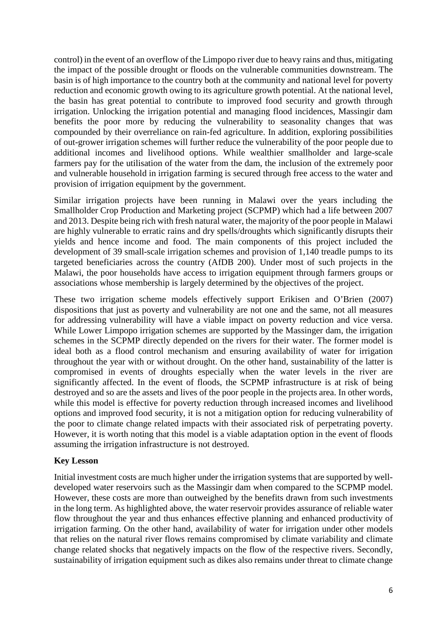control) in the event of an overflow of the Limpopo river due to heavy rains and thus, mitigating the impact of the possible drought or floods on the vulnerable communities downstream. The basin is of high importance to the country both at the community and national level for poverty reduction and economic growth owing to its agriculture growth potential. At the national level, the basin has great potential to contribute to improved food security and growth through irrigation. Unlocking the irrigation potential and managing flood incidences, Massingir dam benefits the poor more by reducing the vulnerability to seasonality changes that was compounded by their overreliance on rain-fed agriculture. In addition, exploring possibilities of out-grower irrigation schemes will further reduce the vulnerability of the poor people due to additional incomes and livelihood options. While wealthier smallholder and large-scale farmers pay for the utilisation of the water from the dam, the inclusion of the extremely poor and vulnerable household in irrigation farming is secured through free access to the water and provision of irrigation equipment by the government.

Similar irrigation projects have been running in Malawi over the years including the Smallholder Crop Production and Marketing project (SCPMP) which had a life between 2007 and 2013. Despite being rich with fresh natural water, the majority of the poor people in Malawi are highly vulnerable to erratic rains and dry spells/droughts which significantly disrupts their yields and hence income and food. The main components of this project included the development of 39 small-scale irrigation schemes and provision of 1,140 treadle pumps to its targeted beneficiaries across the country (AfDB 200). Under most of such projects in the Malawi, the poor households have access to irrigation equipment through farmers groups or associations whose membership is largely determined by the objectives of the project.

These two irrigation scheme models effectively support Erikisen and O'Brien (2007) dispositions that just as poverty and vulnerability are not one and the same, not all measures for addressing vulnerability will have a viable impact on poverty reduction and vice versa. While Lower Limpopo irrigation schemes are supported by the Massinger dam, the irrigation schemes in the SCPMP directly depended on the rivers for their water. The former model is ideal both as a flood control mechanism and ensuring availability of water for irrigation throughout the year with or without drought. On the other hand, sustainability of the latter is compromised in events of droughts especially when the water levels in the river are significantly affected. In the event of floods, the SCPMP infrastructure is at risk of being destroyed and so are the assets and lives of the poor people in the projects area. In other words, while this model is effective for poverty reduction through increased incomes and livelihood options and improved food security, it is not a mitigation option for reducing vulnerability of the poor to climate change related impacts with their associated risk of perpetrating poverty. However, it is worth noting that this model is a viable adaptation option in the event of floods assuming the irrigation infrastructure is not destroyed.

## **Key Lesson**

Initial investment costs are much higher under the irrigation systems that are supported by welldeveloped water reservoirs such as the Massingir dam when compared to the SCPMP model. However, these costs are more than outweighed by the benefits drawn from such investments in the long term. As highlighted above, the water reservoir provides assurance of reliable water flow throughout the year and thus enhances effective planning and enhanced productivity of irrigation farming. On the other hand, availability of water for irrigation under other models that relies on the natural river flows remains compromised by climate variability and climate change related shocks that negatively impacts on the flow of the respective rivers. Secondly, sustainability of irrigation equipment such as dikes also remains under threat to climate change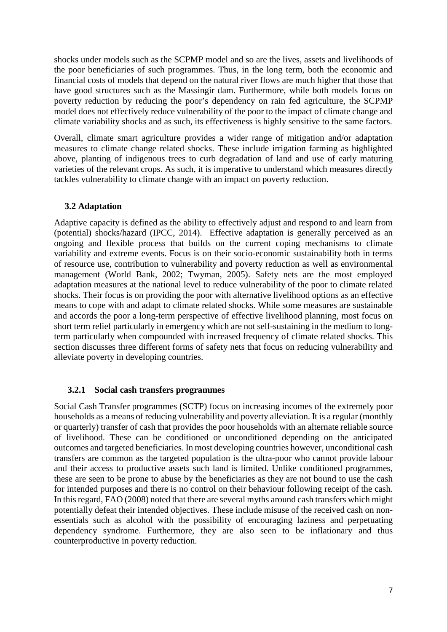shocks under models such as the SCPMP model and so are the lives, assets and livelihoods of the poor beneficiaries of such programmes. Thus, in the long term, both the economic and financial costs of models that depend on the natural river flows are much higher that those that have good structures such as the Massingir dam. Furthermore, while both models focus on poverty reduction by reducing the poor's dependency on rain fed agriculture, the SCPMP model does not effectively reduce vulnerability of the poor to the impact of climate change and climate variability shocks and as such, its effectiveness is highly sensitive to the same factors.

Overall, climate smart agriculture provides a wider range of mitigation and/or adaptation measures to climate change related shocks. These include irrigation farming as highlighted above, planting of indigenous trees to curb degradation of land and use of early maturing varieties of the relevant crops. As such, it is imperative to understand which measures directly tackles vulnerability to climate change with an impact on poverty reduction.

#### **3.2 Adaptation**

Adaptive capacity is defined as the ability to effectively adjust and respond to and learn from (potential) shocks/hazard (IPCC, 2014). Effective adaptation is generally perceived as an ongoing and flexible process that builds on the current coping mechanisms to climate variability and extreme events. Focus is on their socio-economic sustainability both in terms of resource use, contribution to vulnerability and poverty reduction as well as environmental management (World Bank, 2002; Twyman, 2005). Safety nets are the most employed adaptation measures at the national level to reduce vulnerability of the poor to climate related shocks. Their focus is on providing the poor with alternative livelihood options as an effective means to cope with and adapt to climate related shocks. While some measures are sustainable and accords the poor a long-term perspective of effective livelihood planning, most focus on short term relief particularly in emergency which are not self-sustaining in the medium to longterm particularly when compounded with increased frequency of climate related shocks. This section discusses three different forms of safety nets that focus on reducing vulnerability and alleviate poverty in developing countries.

#### **3.2.1 Social cash transfers programmes**

Social Cash Transfer programmes (SCTP) focus on increasing incomes of the extremely poor households as a means of reducing vulnerability and poverty alleviation. It is a regular (monthly or quarterly) transfer of cash that provides the poor households with an alternate reliable source of livelihood. These can be conditioned or unconditioned depending on the anticipated outcomes and targeted beneficiaries. In most developing countries however, unconditional cash transfers are common as the targeted population is the ultra-poor who cannot provide labour and their access to productive assets such land is limited. Unlike conditioned programmes, these are seen to be prone to abuse by the beneficiaries as they are not bound to use the cash for intended purposes and there is no control on their behaviour following receipt of the cash. In this regard, FAO (2008) noted that there are several myths around cash transfers which might potentially defeat their intended objectives. These include misuse of the received cash on nonessentials such as alcohol with the possibility of encouraging laziness and perpetuating dependency syndrome. Furthermore, they are also seen to be inflationary and thus counterproductive in poverty reduction.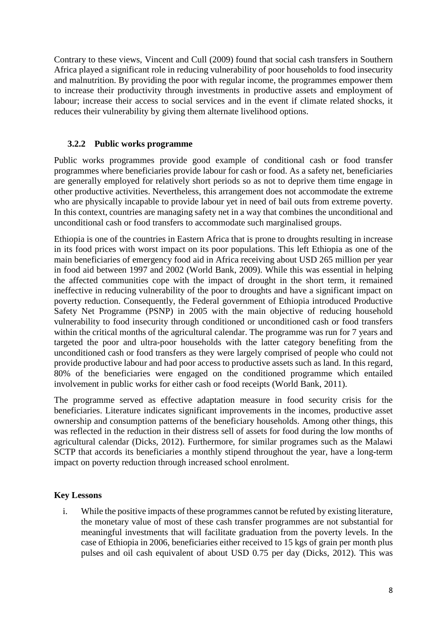Contrary to these views, Vincent and Cull (2009) found that social cash transfers in Southern Africa played a significant role in reducing vulnerability of poor households to food insecurity and malnutrition. By providing the poor with regular income, the programmes empower them to increase their productivity through investments in productive assets and employment of labour; increase their access to social services and in the event if climate related shocks, it reduces their vulnerability by giving them alternate livelihood options.

# **3.2.2 Public works programme**

Public works programmes provide good example of conditional cash or food transfer programmes where beneficiaries provide labour for cash or food. As a safety net, beneficiaries are generally employed for relatively short periods so as not to deprive them time engage in other productive activities. Nevertheless, this arrangement does not accommodate the extreme who are physically incapable to provide labour yet in need of bail outs from extreme poverty. In this context, countries are managing safety net in a way that combines the unconditional and unconditional cash or food transfers to accommodate such marginalised groups.

Ethiopia is one of the countries in Eastern Africa that is prone to droughts resulting in increase in its food prices with worst impact on its poor populations. This left Ethiopia as one of the main beneficiaries of emergency food aid in Africa receiving about USD 265 million per year in food aid between 1997 and 2002 (World Bank, 2009). While this was essential in helping the affected communities cope with the impact of drought in the short term, it remained ineffective in reducing vulnerability of the poor to droughts and have a significant impact on poverty reduction. Consequently, the Federal government of Ethiopia introduced Productive Safety Net Programme (PSNP) in 2005 with the main objective of reducing household vulnerability to food insecurity through conditioned or unconditioned cash or food transfers within the critical months of the agricultural calendar. The programme was run for 7 years and targeted the poor and ultra-poor households with the latter category benefiting from the unconditioned cash or food transfers as they were largely comprised of people who could not provide productive labour and had poor access to productive assets such as land. In this regard, 80% of the beneficiaries were engaged on the conditioned programme which entailed involvement in public works for either cash or food receipts (World Bank, 2011).

The programme served as effective adaptation measure in food security crisis for the beneficiaries. Literature indicates significant improvements in the incomes, productive asset ownership and consumption patterns of the beneficiary households. Among other things, this was reflected in the reduction in their distress sell of assets for food during the low months of agricultural calendar (Dicks, 2012). Furthermore, for similar programes such as the Malawi SCTP that accords its beneficiaries a monthly stipend throughout the year, have a long-term impact on poverty reduction through increased school enrolment.

# **Key Lessons**

i. While the positive impacts of these programmes cannot be refuted by existing literature, the monetary value of most of these cash transfer programmes are not substantial for meaningful investments that will facilitate graduation from the poverty levels. In the case of Ethiopia in 2006, beneficiaries either received to 15 kgs of grain per month plus pulses and oil cash equivalent of about USD 0.75 per day (Dicks, 2012). This was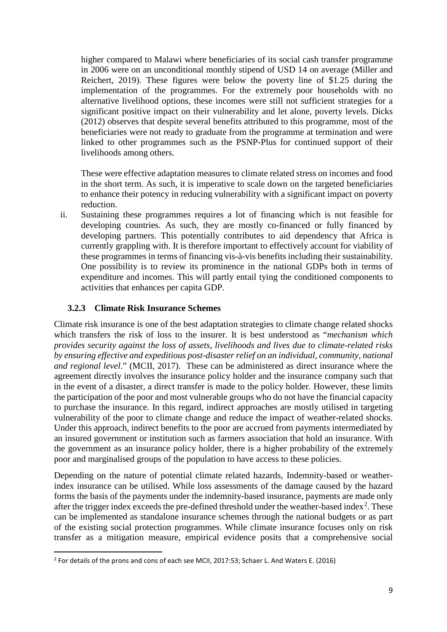higher compared to Malawi where beneficiaries of its social cash transfer programme in 2006 were on an unconditional monthly stipend of USD 14 on average (Miller and Reichert, 2019). These figures were below the poverty line of \$1.25 during the implementation of the programmes. For the extremely poor households with no alternative livelihood options, these incomes were still not sufficient strategies for a significant positive impact on their vulnerability and let alone, poverty levels. Dicks (2012) observes that despite several benefits attributed to this programme, most of the beneficiaries were not ready to graduate from the programme at termination and were linked to other programmes such as the PSNP-Plus for continued support of their livelihoods among others*.*

These were effective adaptation measures to climate related stress on incomes and food in the short term. As such, it is imperative to scale down on the targeted beneficiaries to enhance their potency in reducing vulnerability with a significant impact on poverty reduction.

ii. Sustaining these programmes requires a lot of financing which is not feasible for developing countries. As such, they are mostly co-financed or fully financed by developing partners. This potentially contributes to aid dependency that Africa is currently grappling with. It is therefore important to effectively account for viability of these programmes in terms of financing vis-à-vis benefits including their sustainability. One possibility is to review its prominence in the national GDPs both in terms of expenditure and incomes. This will partly entail tying the conditioned components to activities that enhances per capita GDP.

# **3.2.3 Climate Risk Insurance Schemes**

Climate risk insurance is one of the best adaptation strategies to climate change related shocks which transfers the risk of loss to the insurer. It is best understood as "*mechanism which provides security against the loss of assets, livelihoods and lives due to climate-related risks by ensuring effective and expeditious post-disaster relief on an individual, community, national and regional level*." (MCII, 2017). These can be administered as direct insurance where the agreement directly involves the insurance policy holder and the insurance company such that in the event of a disaster, a direct transfer is made to the policy holder. However, these limits the participation of the poor and most vulnerable groups who do not have the financial capacity to purchase the insurance. In this regard, indirect approaches are mostly utilised in targeting vulnerability of the poor to climate change and reduce the impact of weather-related shocks. Under this approach, indirect benefits to the poor are accrued from payments intermediated by an insured government or institution such as farmers association that hold an insurance. With the government as an insurance policy holder, there is a higher probability of the extremely poor and marginalised groups of the population to have access to these policies.

Depending on the nature of potential climate related hazards, Indemnity-based or weatherindex insurance can be utilised. While loss assessments of the damage caused by the hazard forms the basis of the payments under the indemnity-based insurance, payments are made only after the trigger index exceeds the pre-defined threshold under the weather-based index<sup>[2](#page-8-0)</sup>. These can be implemented as standalone insurance schemes through the national budgets or as part of the existing social protection programmes. While climate insurance focuses only on risk transfer as a mitigation measure, empirical evidence posits that a comprehensive social

<span id="page-8-0"></span> <sup>2</sup> For details of the prons and cons of each see MCII, 2017:53; Schaer L. And Waters E. (2016)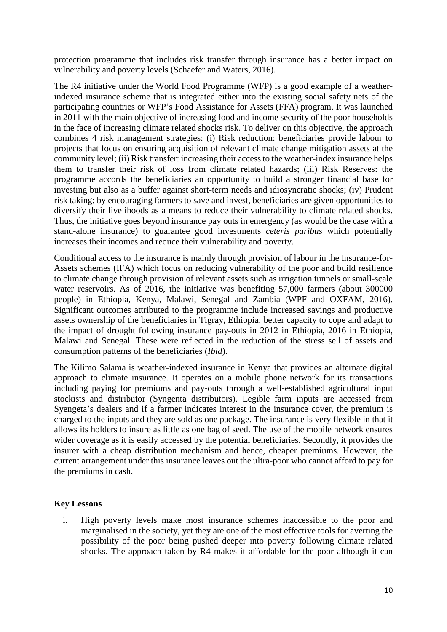protection programme that includes risk transfer through insurance has a better impact on vulnerability and poverty levels (Schaefer and Waters, 2016).

The R4 initiative under the World Food Programme (WFP) is a good example of a weatherindexed insurance scheme that is integrated either into the existing social safety nets of the participating countries or WFP's Food Assistance for Assets (FFA) program. It was launched in 2011 with the main objective of increasing food and income security of the poor households in the face of increasing climate related shocks risk. To deliver on this objective, the approach combines 4 risk management strategies: (i) Risk reduction: beneficiaries provide labour to projects that focus on ensuring acquisition of relevant climate change mitigation assets at the community level; (ii) Risk transfer: increasing their access to the weather-index insurance helps them to transfer their risk of loss from climate related hazards; (iii) Risk Reserves: the programme accords the beneficiaries an opportunity to build a stronger financial base for investing but also as a buffer against short-term needs and idiosyncratic shocks; (iv) Prudent risk taking: by encouraging farmers to save and invest, beneficiaries are given opportunities to diversify their livelihoods as a means to reduce their vulnerability to climate related shocks. Thus, the initiative goes beyond insurance pay outs in emergency (as would be the case with a stand-alone insurance) to guarantee good investments *ceteris paribus* which potentially increases their incomes and reduce their vulnerability and poverty.

Conditional access to the insurance is mainly through provision of labour in the Insurance-for-Assets schemes (IFA) which focus on reducing vulnerability of the poor and build resilience to climate change through provision of relevant assets such as irrigation tunnels or small-scale water reservoirs. As of 2016, the initiative was benefiting 57,000 farmers (about 300000 people) in Ethiopia, Kenya, Malawi, Senegal and Zambia (WPF and OXFAM, 2016). Significant outcomes attributed to the programme include increased savings and productive assets ownership of the beneficiaries in Tigray, Ethiopia; better capacity to cope and adapt to the impact of drought following insurance pay-outs in 2012 in Ethiopia, 2016 in Ethiopia, Malawi and Senegal. These were reflected in the reduction of the stress sell of assets and consumption patterns of the beneficiaries (*Ibid*).

The Kilimo Salama is weather-indexed insurance in Kenya that provides an alternate digital approach to climate insurance. It operates on a mobile phone network for its transactions including paying for premiums and pay-outs through a well-established agricultural input stockists and distributor (Syngenta distributors). Legible farm inputs are accessed from Syengeta's dealers and if a farmer indicates interest in the insurance cover, the premium is charged to the inputs and they are sold as one package. The insurance is very flexible in that it allows its holders to insure as little as one bag of seed. The use of the mobile network ensures wider coverage as it is easily accessed by the potential beneficiaries. Secondly, it provides the insurer with a cheap distribution mechanism and hence, cheaper premiums. However, the current arrangement under this insurance leaves out the ultra-poor who cannot afford to pay for the premiums in cash.

#### **Key Lessons**

i. High poverty levels make most insurance schemes inaccessible to the poor and marginalised in the society, yet they are one of the most effective tools for averting the possibility of the poor being pushed deeper into poverty following climate related shocks. The approach taken by R4 makes it affordable for the poor although it can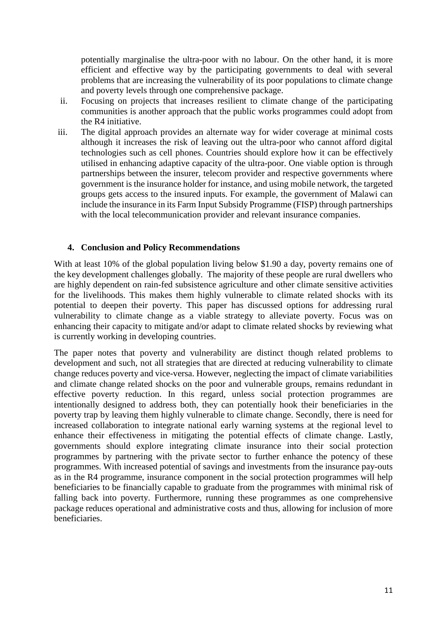potentially marginalise the ultra-poor with no labour. On the other hand, it is more efficient and effective way by the participating governments to deal with several problems that are increasing the vulnerability of its poor populations to climate change and poverty levels through one comprehensive package.

- ii. Focusing on projects that increases resilient to climate change of the participating communities is another approach that the public works programmes could adopt from the R4 initiative.
- iii. The digital approach provides an alternate way for wider coverage at minimal costs although it increases the risk of leaving out the ultra-poor who cannot afford digital technologies such as cell phones. Countries should explore how it can be effectively utilised in enhancing adaptive capacity of the ultra-poor. One viable option is through partnerships between the insurer, telecom provider and respective governments where government is the insurance holder for instance, and using mobile network, the targeted groups gets access to the insured inputs. For example, the government of Malawi can include the insurance in its Farm Input Subsidy Programme (FISP) through partnerships with the local telecommunication provider and relevant insurance companies.

### **4. Conclusion and Policy Recommendations**

With at least 10% of the global population living below \$1.90 a day, poverty remains one of the key development challenges globally. The majority of these people are rural dwellers who are highly dependent on rain-fed subsistence agriculture and other climate sensitive activities for the livelihoods. This makes them highly vulnerable to climate related shocks with its potential to deepen their poverty. This paper has discussed options for addressing rural vulnerability to climate change as a viable strategy to alleviate poverty. Focus was on enhancing their capacity to mitigate and/or adapt to climate related shocks by reviewing what is currently working in developing countries.

The paper notes that poverty and vulnerability are distinct though related problems to development and such, not all strategies that are directed at reducing vulnerability to climate change reduces poverty and vice-versa. However, neglecting the impact of climate variabilities and climate change related shocks on the poor and vulnerable groups, remains redundant in effective poverty reduction. In this regard, unless social protection programmes are intentionally designed to address both, they can potentially hook their beneficiaries in the poverty trap by leaving them highly vulnerable to climate change. Secondly, there is need for increased collaboration to integrate national early warning systems at the regional level to enhance their effectiveness in mitigating the potential effects of climate change. Lastly, governments should explore integrating climate insurance into their social protection programmes by partnering with the private sector to further enhance the potency of these programmes. With increased potential of savings and investments from the insurance pay-outs as in the R4 programme, insurance component in the social protection programmes will help beneficiaries to be financially capable to graduate from the programmes with minimal risk of falling back into poverty. Furthermore, running these programmes as one comprehensive package reduces operational and administrative costs and thus, allowing for inclusion of more beneficiaries.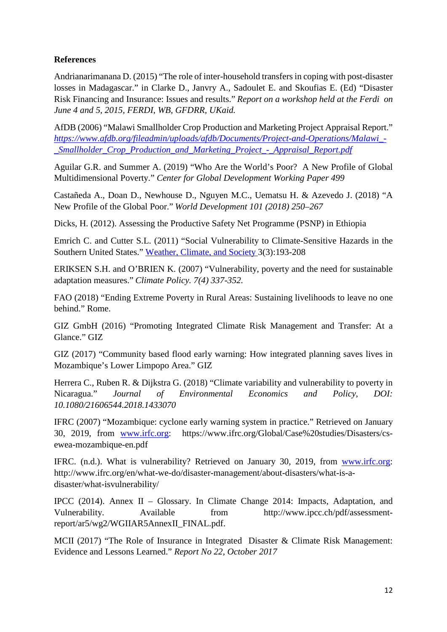# **References**

Andrianarimanana D. (2015) "The role of inter-household transfers in coping with post-disaster losses in Madagascar." in Clarke D., Janvry A., Sadoulet E. and Skoufias E. (Ed) "Disaster Risk Financing and Insurance: Issues and results." *Report on a workshop held at the Ferdi on June 4 and 5, 2015, FERDI, WB, GFDRR, UKaid.*

AfDB (2006) "Malawi Smallholder Crop Production and Marketing Project Appraisal Report." *[https://www.afdb.org/fileadmin/uploads/afdb/Documents/Project-and-Operations/Malawi\\_-](https://www.afdb.org/fileadmin/uploads/afdb/Documents/Project-and-Operations/Malawi_-_Smallholder_Crop_Production_and_Marketing_Project_-_Appraisal_Report.pdf) [\\_Smallholder\\_Crop\\_Production\\_and\\_Marketing\\_Project\\_-\\_Appraisal\\_Report.pdf](https://www.afdb.org/fileadmin/uploads/afdb/Documents/Project-and-Operations/Malawi_-_Smallholder_Crop_Production_and_Marketing_Project_-_Appraisal_Report.pdf)*

Aguilar G.R. and Summer A. (2019) "Who Are the World's Poor? A New Profile of Global Multidimensional Poverty." *Center for Global Development Working Paper 499*

Castañeda A., Doan D., Newhouse D., Nguyen M.C., Uematsu H. & Azevedo J. (2018) "A New Profile of the Global Poor." *World Development 101 (2018) 250–267*

Dicks, H. (2012). Assessing the Productive Safety Net Programme (PSNP) in Ethiopia

Emrich C. and Cutter S.L. (2011) "Social Vulnerability to Climate-Sensitive Hazards in the Southern United States." [Weather, Climate, and Society 3](https://www.researchgate.net/journal/1948-8327_Weather_Climate_and_Society)(3):193-208

ERIKSEN S.H. and O'BRIEN K. (2007) "Vulnerability, poverty and the need for sustainable adaptation measures." *Climate Policy. 7(4) 337-352.* 

FAO (2018) "Ending Extreme Poverty in Rural Areas: Sustaining livelihoods to leave no one behind." Rome.

GIZ GmbH (2016) "Promoting Integrated Climate Risk Management and Transfer: At a Glance." GIZ

GIZ (2017) "Community based flood early warning: How integrated planning saves lives in Mozambique's Lower Limpopo Area." GIZ

Herrera C., Ruben R. & Dijkstra G. (2018) "Climate variability and vulnerability to poverty in Nicaragua." *Journal of Environmental Economics and Policy, DOI: 10.1080/21606544.2018.1433070*

IFRC (2007) "Mozambique: cyclone early warning system in practice." Retrieved on January 30, 2019, from [www.irfc.org:](http://www.irfc.org/) https://www.ifrc.org/Global/Case%20studies/Disasters/csewea-mozambique-en.pdf

IFRC. (n.d.). What is vulnerability? Retrieved on January 30, 2019, from [www.irfc.org:](http://www.irfc.org/) http://www.ifrc.org/en/what-we-do/disaster-management/about-disasters/what-is-adisaster/what-isvulnerability/

IPCC (2014). Annex II – Glossary. In Climate Change 2014: Impacts, Adaptation, and Vulnerability. Available from http://www.ipcc.ch/pdf/assessmentreport/ar5/wg2/WGIIAR5AnnexII\_FINAL.pdf.

MCII (2017) "The Role of Insurance in Integrated Disaster & Climate Risk Management: Evidence and Lessons Learned." *Report No 22, October 2017*